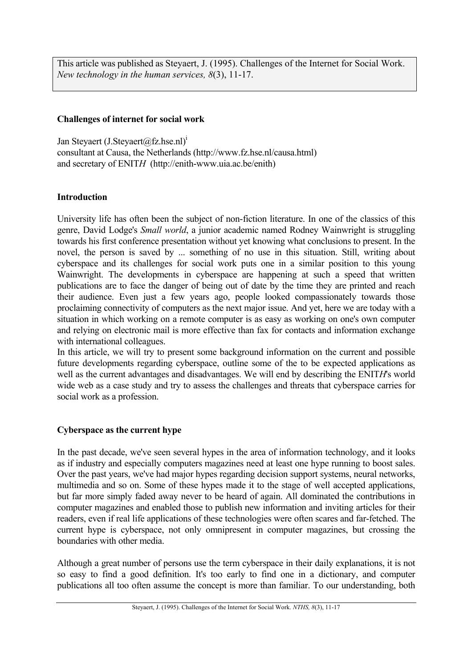This article was published as Steyaert, J. (1995). Challenges of the Internet for Social Work. *New technology in the human services, 8*(3), 11-17.

# **Challenges of internet for social work**

Jan Steyaert (J.Steyaert $(a$ fz.hse.nl)<sup>1</sup> consultant at Causa, the Netherlands (http://www.fz.hse.nl/causa.html) and secretary of ENIT*H* (http://enith-www.uia.ac.be/enith)

# **Introduction**

University life has often been the subject of non-fiction literature. In one of the classics of this genre, David Lodge's *Small world*, a junior academic named Rodney Wainwright is struggling towards his first conference presentation without yet knowing what conclusions to present. In the novel, the person is saved by ... something of no use in this situation. Still, writing about cyberspace and its challenges for social work puts one in a similar position to this young Wainwright. The developments in cyberspace are happening at such a speed that written publications are to face the danger of being out of date by the time they are printed and reach their audience. Even just a few years ago, people looked compassionately towards those proclaiming connectivity of computers as the next major issue. And yet, here we are today with a situation in which working on a remote computer is as easy as working on one's own computer and relying on electronic mail is more effective than fax for contacts and information exchange with international colleagues.

In this article, we will try to present some background information on the current and possible future developments regarding cyberspace, outline some of the to be expected applications as well as the current advantages and disadvantages. We will end by describing the ENIT*H*'s world wide web as a case study and try to assess the challenges and threats that cyberspace carries for social work as a profession.

# **Cyberspace as the current hype**

In the past decade, we've seen several hypes in the area of information technology, and it looks as if industry and especially computers magazines need at least one hype running to boost sales. Over the past years, we've had major hypes regarding decision support systems, neural networks, multimedia and so on. Some of these hypes made it to the stage of well accepted applications, but far more simply faded away never to be heard of again. All dominated the contributions in computer magazines and enabled those to publish new information and inviting articles for their readers, even if real life applications of these technologies were often scares and far-fetched. The current hype is cyberspace, not only omnipresent in computer magazines, but crossing the boundaries with other media.

Although a great number of persons use the term cyberspace in their daily explanations, it is not so easy to find a good definition. It's too early to find one in a dictionary, and computer publications all too often assume the concept is more than familiar. To our understanding, both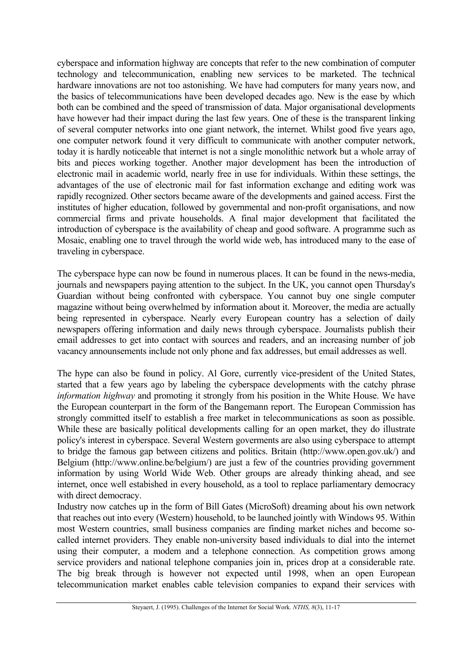cyberspace and information highway are concepts that refer to the new combination of computer technology and telecommunication, enabling new services to be marketed. The technical hardware innovations are not too astonishing. We have had computers for many years now, and the basics of telecommunications have been developed decades ago. New is the ease by which both can be combined and the speed of transmission of data. Major organisational developments have however had their impact during the last few years. One of these is the transparent linking of several computer networks into one giant network, the internet. Whilst good five years ago, one computer network found it very difficult to communicate with another computer network, today it is hardly noticeable that internet is not a single monolithic network but a whole array of bits and pieces working together. Another major development has been the introduction of electronic mail in academic world, nearly free in use for individuals. Within these settings, the advantages of the use of electronic mail for fast information exchange and editing work was rapidly recognized. Other sectors became aware of the developments and gained access. First the institutes of higher education, followed by governmental and non-profit organisations, and now commercial firms and private households. A final major development that facilitated the introduction of cyberspace is the availability of cheap and good software. A programme such as Mosaic, enabling one to travel through the world wide web, has introduced many to the ease of traveling in cyberspace.

The cyberspace hype can now be found in numerous places. It can be found in the news-media, journals and newspapers paying attention to the subject. In the UK, you cannot open Thursday's Guardian without being confronted with cyberspace. You cannot buy one single computer magazine without being overwhelmed by information about it. Moreover, the media are actually being represented in cyberspace. Nearly every European country has a selection of daily newspapers offering information and daily news through cyberspace. Journalists publish their email addresses to get into contact with sources and readers, and an increasing number of job vacancy announsements include not only phone and fax addresses, but email addresses as well.

The hype can also be found in policy. Al Gore, currently vice-president of the United States, started that a few years ago by labeling the cyberspace developments with the catchy phrase *information highway* and promoting it strongly from his position in the White House. We have the European counterpart in the form of the Bangemann report. The European Commission has strongly committed itself to establish a free market in telecommunications as soon as possible. While these are basically political developments calling for an open market, they do illustrate policy's interest in cyberspace. Several Western goverments are also using cyberspace to attempt to bridge the famous gap between citizens and politics. Britain (http://www.open.gov.uk/) and Belgium (http://www.online.be/belgium/) are just a few of the countries providing government information by using World Wide Web. Other groups are already thinking ahead, and see internet, once well estabished in every household, as a tool to replace parliamentary democracy with direct democracy.

Industry now catches up in the form of Bill Gates (MicroSoft) dreaming about his own network that reaches out into every (Western) household, to be launched jointly with Windows 95. Within most Western countries, small business companies are finding market niches and become socalled internet providers. They enable non-university based individuals to dial into the internet using their computer, a modem and a telephone connection. As competition grows among service providers and national telephone companies join in, prices drop at a considerable rate. The big break through is however not expected until 1998, when an open European telecommunication market enables cable television companies to expand their services with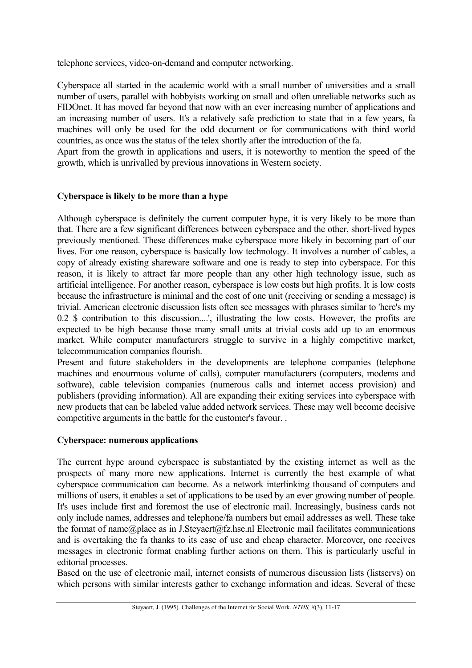telephone services, video-on-demand and computer networking.

Cyberspace all started in the academic world with a small number of universities and a small number of users, parallel with hobbyists working on small and often unreliable networks such as FIDOnet. It has moved far beyond that now with an ever increasing number of applications and an increasing number of users. It's a relatively safe prediction to state that in a few years, fa machines will only be used for the odd document or for communications with third world countries, as once was the status of the telex shortly after the introduction of the fa.

Apart from the growth in applications and users, it is noteworthy to mention the speed of the growth, which is unrivalled by previous innovations in Western society.

# **Cyberspace is likely to be more than a hype**

Although cyberspace is definitely the current computer hype, it is very likely to be more than that. There are a few significant differences between cyberspace and the other, short-lived hypes previously mentioned. These differences make cyberspace more likely in becoming part of our lives. For one reason, cyberspace is basically low technology. It involves a number of cables, a copy of already existing shareware software and one is ready to step into cyberspace. For this reason, it is likely to attract far more people than any other high technology issue, such as artificial intelligence. For another reason, cyberspace is low costs but high profits. It is low costs because the infrastructure is minimal and the cost of one unit (receiving or sending a message) is trivial. American electronic discussion lists often see messages with phrases similar to 'here's my 0.2 \$ contribution to this discussion....', illustrating the low costs. However, the profits are expected to be high because those many small units at trivial costs add up to an enormous market. While computer manufacturers struggle to survive in a highly competitive market, telecommunication companies flourish.

Present and future stakeholders in the developments are telephone companies (telephone machines and enourmous volume of calls), computer manufacturers (computers, modems and software), cable television companies (numerous calls and internet access provision) and publishers (providing information). All are expanding their exiting services into cyberspace with new products that can be labeled value added network services. These may well become decisive competitive arguments in the battle for the customer's favour. .

### **Cyberspace: numerous applications**

The current hype around cyberspace is substantiated by the existing internet as well as the prospects of many more new applications. Internet is currently the best example of what cyberspace communication can become. As a network interlinking thousand of computers and millions of users, it enables a set of applications to be used by an ever growing number of people. It's uses include first and foremost the use of electronic mail. Increasingly, business cards not only include names, addresses and telephone/fa numbers but email addresses as well. These take the format of name@place as in J.Steyaert@fz.hse.nl Electronic mail facilitates communications and is overtaking the fa thanks to its ease of use and cheap character. Moreover, one receives messages in electronic format enabling further actions on them. This is particularly useful in editorial processes.

Based on the use of electronic mail, internet consists of numerous discussion lists (listservs) on which persons with similar interests gather to exchange information and ideas. Several of these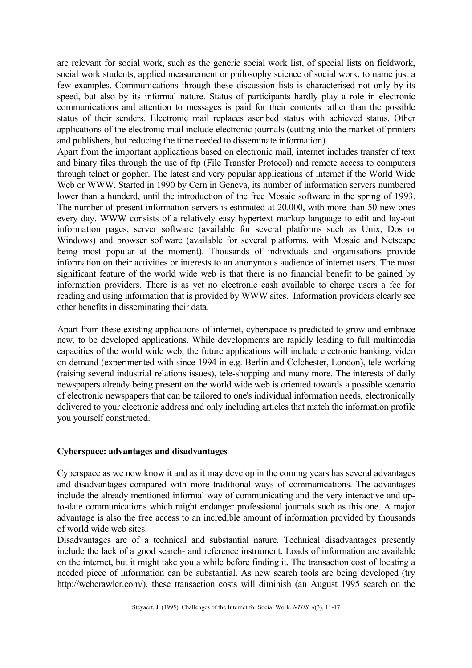are relevant for social work, such as the generic social work list, of special lists on fieldwork, social work students, applied measurement or philosophy science of social work, to name just a few examples. Communications through these discussion lists is characterised not only by its speed, but also by its informal nature. Status of participants hardly play a role in electronic communications and attention to messages is paid for their contents rather than the possible status of their senders. Electronic mail replaces ascribed status with achieved status. Other applications of the electronic mail include electronic journals (cutting into the market of printers and publishers, but reducing the time needed to disseminate information).

Apart from the important applications based on electronic mail, internet includes transfer of text and binary files through the use of ftp (File Transfer Protocol) and remote access to computers through telnet or gopher. The latest and very popular applications of internet if the World Wide Web or WWW. Started in 1990 by Cern in Geneva, its number of information servers numbered lower than a hunderd, until the introduction of the free Mosaic software in the spring of 1993. The number of present information servers is estimated at 20.000, with more than 50 new ones every day. WWW consists of a relatively easy hypertext markup language to edit and lay-out information pages, server software (available for several platforms such as Unix, Dos or Windows) and browser software (available for several platforms, with Mosaic and Netscape being most popular at the moment). Thousands of individuals and organisations provide information on their activities or interests to an anonymous audience of internet users. The most significant feature of the world wide web is that there is no financial benefit to be gained by information providers. There is as yet no electronic cash available to charge users a fee for reading and using information that is provided by WWW sites. Information providers clearly see other benefits in disseminating their data.

Apart from these existing applications of internet, cyberspace is predicted to grow and embrace new, to be developed applications. While developments are rapidly leading to full multimedia capacities of the world wide web, the future applications will include electronic banking, video on demand (experimented with since 1994 in e.g. Berlin and Colchester, London), tele-working (raising several industrial relations issues), tele-shopping and many more. The interests of daily newspapers already being present on the world wide web is oriented towards a possible scenario of electronic newspapers that can be tailored to one's individual information needs, electronically delivered to your electronic address and only including articles that match the information profile you yourself constructed.

# **Cyberspace: advantages and disadvantages**

Cyberspace as we now know it and as it may develop in the coming years has several advantages and disadvantages compared with more traditional ways of communications. The advantages include the already mentioned informal way of communicating and the very interactive and upto-date communications which might endanger professional journals such as this one. A major advantage is also the free access to an incredible amount of information provided by thousands of world wide web sites.

Disadvantages are of a technical and substantial nature. Technical disadvantages presently include the lack of a good search- and reference instrument. Loads of information are available on the internet, but it might take you a while before finding it. The transaction cost of locating a needed piece of information can be substantial. As new search tools are being developed (try http://webcrawler.com/), these transaction costs will diminish (an August 1995 search on the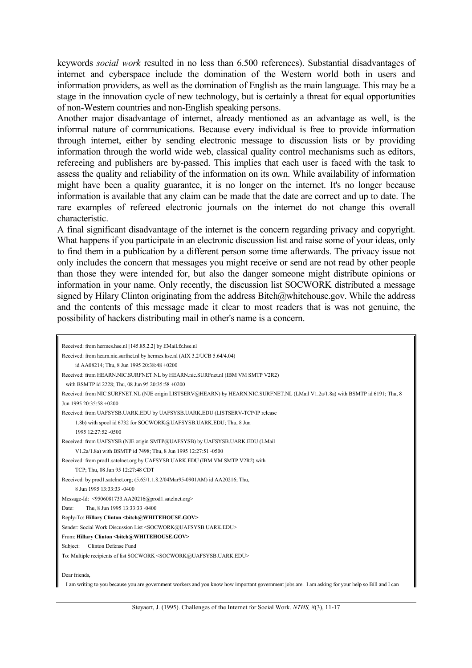keywords *social work* resulted in no less than 6.500 references). Substantial disadvantages of internet and cyberspace include the domination of the Western world both in users and information providers, as well as the domination of English as the main language. This may be a stage in the innovation cycle of new technology, but is certainly a threat for equal opportunities of non-Western countries and non-English speaking persons.

Another major disadvantage of internet, already mentioned as an advantage as well, is the informal nature of communications. Because every individual is free to provide information through internet, either by sending electronic message to discussion lists or by providing information through the world wide web, classical quality control mechanisms such as editors, refereeing and publishers are by-passed. This implies that each user is faced with the task to assess the quality and reliability of the information on its own. While availability of information might have been a quality guarantee, it is no longer on the internet. It's no longer because information is available that any claim can be made that the date are correct and up to date. The rare examples of refereed electronic journals on the internet do not change this overall characteristic.

A final significant disadvantage of the internet is the concern regarding privacy and copyright. What happens if you participate in an electronic discussion list and raise some of your ideas, only to find them in a publication by a different person some time afterwards. The privacy issue not only includes the concern that messages you might receive or send are not read by other people than those they were intended for, but also the danger someone might distribute opinions or information in your name. Only recently, the discussion list SOCWORK distributed a message signed by Hilary Clinton originating from the address Bitch@whitehouse.gov. While the address and the contents of this message made it clear to most readers that is was not genuine, the possibility of hackers distributing mail in other's name is a concern.

| Received: from hermes.hse.nl [145.85.2.2] by EMail.fz.hse.nl                                                                                       |
|----------------------------------------------------------------------------------------------------------------------------------------------------|
| Received: from hearn.nic.surfnet.nl by hermes.hse.nl (AIX 3.2/UCB 5.64/4.04)                                                                       |
| id AA08214; Thu, 8 Jun 1995 20:38:48 +0200                                                                                                         |
| Received: from HEARN.NIC.SURFNET.NL by HEARN.nic.SURFnet.nl (IBM VM SMTP V2R2)                                                                     |
| with BSMTP id 2228; Thu, 08 Jun 95 20:35:58 +0200                                                                                                  |
| Received: from NIC.SURFNET.NL (NJE origin LISTSERV@HEARN) by HEARN.NIC.SURFNET.NL (LMail V1.2a/1.8a) with BSMTP id 6191; Thu, 8                    |
| Jun 1995 20:35:58 +0200                                                                                                                            |
| Received: from UAFSYSB.UARK.EDU by UAFSYSB.UARK.EDU (LISTSERV-TCP/IP release                                                                       |
| 1.8b) with spool id 6732 for SOCWORK@UAFSYSB.UARK.EDU; Thu, 8 Jun                                                                                  |
| 1995 12:27:52 -0500                                                                                                                                |
| Received: from UAFSYSB (NJE origin SMTP@UAFSYSB) by UAFSYSB UARK EDU (LMail                                                                        |
| V1.2a/1.8a) with BSMTP id 7498; Thu, 8 Jun 1995 12:27:51 -0500                                                                                     |
| Received: from prod1.satelnet.org by UAFSYSB.UARK.EDU (IBM VM SMTP V2R2) with                                                                      |
| TCP; Thu, 08 Jun 95 12:27:48 CDT                                                                                                                   |
| Received: by prod1.satelnet.org; (5.65/1.1.8.2/04Mar95-0901AM) id AA20216; Thu,                                                                    |
| 8 Jun 1995 13:33:33 -0400                                                                                                                          |
| Message-Id: <9506081733.AA20216@prod1.satelnet.org>                                                                                                |
| Thu, 8 Jun 1995 13:33:33 -0400<br>Date:                                                                                                            |
| Reply-To: Hillary Clinton<br><br>bitch@WHITEHOUSE.GOV>                                                                                             |
| Sender: Social Work Discussion List <socwork@uafsysb.uark.edu></socwork@uafsysb.uark.edu>                                                          |
| From: Hillary Clinton<br><br>bitch@WHITEHOUSE.GOV>                                                                                                 |
| Clinton Defense Fund<br>Subject:                                                                                                                   |
| To: Multiple recipients of list SOCWORK <socwork@uafsysb.uark.edu></socwork@uafsysb.uark.edu>                                                      |
|                                                                                                                                                    |
| Dear friends,                                                                                                                                      |
| I am writing to you because you are government workers and you know how important government jobs are. I am asking for your help so Bill and I can |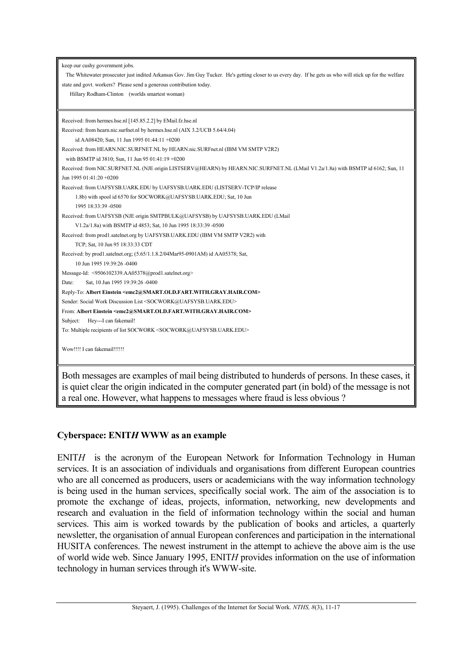| keep our cushy government jobs.<br>The Whitewater prosecuter just indited Arkansas Gov. Jim Guy Tucker. He's getting closer to us every day. If he gets us who will stick up for the welfare<br>state and govt. workers? Please send a generous contribution today.<br>Hillary Rodham-Clinton (worlds smartest woman) |
|-----------------------------------------------------------------------------------------------------------------------------------------------------------------------------------------------------------------------------------------------------------------------------------------------------------------------|
| Received: from hermes.hse.nl [145.85.2.2] by EMail.fz.hse.nl                                                                                                                                                                                                                                                          |
| Received: from hearn.nic.surfnet.nl by hermes.hse.nl (AIX 3.2/UCB 5.64/4.04)                                                                                                                                                                                                                                          |
| id AA08420; Sun, 11 Jun 1995 01:44:11 +0200                                                                                                                                                                                                                                                                           |
| Received: from HEARN.NIC.SURFNET.NL by HEARN.nic.SURFnet.nl (IBM VM SMTP V2R2)                                                                                                                                                                                                                                        |
| with BSMTP id 3810; Sun, 11 Jun 95 01:41:19 +0200                                                                                                                                                                                                                                                                     |
| Received: from NIC.SURFNET.NL (NJE origin LISTSERV@HEARN) by HEARN.NIC.SURFNET.NL (LMail V1.2a/1.8a) with BSMTP id 6162; Sun, 11                                                                                                                                                                                      |
| Jun 1995 01:41:20 +0200                                                                                                                                                                                                                                                                                               |
| Received: from UAFSYSB.UARK.EDU by UAFSYSB.UARK.EDU (LISTSERV-TCP/IP release                                                                                                                                                                                                                                          |
| 1.8b) with spool id 6570 for SOCWORK@UAFSYSB.UARK.EDU; Sat, 10 Jun                                                                                                                                                                                                                                                    |
| 1995 18:33:39 -0500                                                                                                                                                                                                                                                                                                   |
| Received: from UAFSYSB (NJE origin SMTPBULK@UAFSYSB) by UAFSYSB UARK EDU (LMail                                                                                                                                                                                                                                       |
| V1.2a/1.8a) with BSMTP id 4853; Sat, 10 Jun 1995 18:33:39 -0500                                                                                                                                                                                                                                                       |
| Received: from prod1.satelnet.org by UAFSYSB.UARK.EDU (IBM VM SMTP V2R2) with                                                                                                                                                                                                                                         |
| TCP; Sat, 10 Jun 95 18:33:33 CDT                                                                                                                                                                                                                                                                                      |
| Received: by prod1.satelnet.org; (5.65/1.1.8.2/04Mar95-0901AM) id AA05378; Sat,                                                                                                                                                                                                                                       |
| 10 Jun 1995 19:39:26 -0400                                                                                                                                                                                                                                                                                            |
| Message-Id: <9506102339.AA05378@prod1.satelnet.org>                                                                                                                                                                                                                                                                   |
| Sat, 10 Jun 1995 19:39:26 -0400<br>Date:                                                                                                                                                                                                                                                                              |
| Reply-To: Albert Einstein <emc2@smart.old.fart.with.gray.hair.com></emc2@smart.old.fart.with.gray.hair.com>                                                                                                                                                                                                           |
| Sender: Social Work Discussion List <socwork@uafsysb.uark.edu></socwork@uafsysb.uark.edu>                                                                                                                                                                                                                             |
| From: Albert Einstein <emc2@smart.old.fart.with.gray.hair.com></emc2@smart.old.fart.with.gray.hair.com>                                                                                                                                                                                                               |
| Hey---I can fakemail!<br>Subject:                                                                                                                                                                                                                                                                                     |
| To: Multiple recipients of list SOCWORK <socwork@uafsysb.uark.edu></socwork@uafsysb.uark.edu>                                                                                                                                                                                                                         |
| Wow!!!! I can fakemail!!!!!!                                                                                                                                                                                                                                                                                          |

Both messages are examples of mail being distributed to hunderds of persons. In these cases, it is quiet clear the origin indicated in the computer generated part (in bold) of the message is not a real one. However, what happens to messages where fraud is less obvious ?

# **Cyberspace: ENIT***H* **WWW as an example**

ENIT*H* is the acronym of the European Network for Information Technology in Human services. It is an association of individuals and organisations from different European countries who are all concerned as producers, users or academicians with the way information technology is being used in the human services, specifically social work. The aim of the association is to promote the exchange of ideas, projects, information, networking, new developments and research and evaluation in the field of information technology within the social and human services. This aim is worked towards by the publication of books and articles, a quarterly newsletter, the organisation of annual European conferences and participation in the international HUSITA conferences. The newest instrument in the attempt to achieve the above aim is the use of world wide web. Since January 1995, ENIT*H* provides information on the use of information technology in human services through it's WWW-site.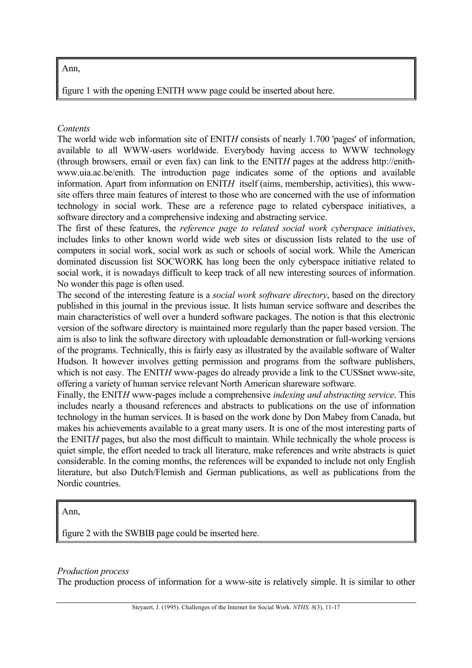## Ann,

figure 1 with the opening ENITH www page could be inserted about here.

## *Contents*

The world wide web information site of ENIT*H* consists of nearly 1.700 'pages' of information, available to all WWW-users worldwide. Everybody having access to WWW technology (through browsers, email or even fax) can link to the ENIT*H* pages at the address http://enithwww.uia.ac.be/enith. The introduction page indicates some of the options and available information. Apart from information on ENIT*H* itself (aims, membership, activities), this wwwsite offers three main features of interest to those who are concerned with the use of information technology in social work. These are a reference page to related cyberspace initiatives, a software directory and a comprehensive indexing and abstracting service.

The first of these features, the *reference page to related social work cyberspace initiatives*, includes links to other known world wide web sites or discussion lists related to the use of computers in social work, social work as such or schools of social work. While the American dominated discussion list SOCWORK has long been the only cyberspace initiative related to social work, it is nowadays difficult to keep track of all new interesting sources of information. No wonder this page is often used.

The second of the interesting feature is a *social work software directory*, based on the directory published in this journal in the previous issue. It lists human service software and describes the main characteristics of well over a hunderd software packages. The notion is that this electronic version of the software directory is maintained more regularly than the paper based version. The aim is also to link the software directory with uploadable demonstration or full-working versions of the programs. Technically, this is fairly easy as illustrated by the available software of Walter Hudson. It however involves getting permission and programs from the software publishers, which is not easy. The ENITH www-pages do already provide a link to the CUSSnet www-site, offering a variety of human service relevant North American shareware software.

Finally, the ENIT*H* www-pages include a comprehensive *indexing and abstracting service*. This includes nearly a thousand references and abstracts to publications on the use of information technology in the human services. It is based on the work done by Don Mabey from Canada, but makes his achievements available to a great many users. It is one of the most interesting parts of the ENIT*H* pages, but also the most difficult to maintain. While technically the whole process is quiet simple, the effort needed to track all literature, make references and write abstracts is quiet considerable. In the coming months, the references will be expanded to include not only English literature, but also Dutch/Flemish and German publications, as well as publications from the Nordic countries.

Ann,

figure 2 with the SWBIB page could be inserted here.

# *Production process*

The production process of information for a www-site is relatively simple. It is similar to other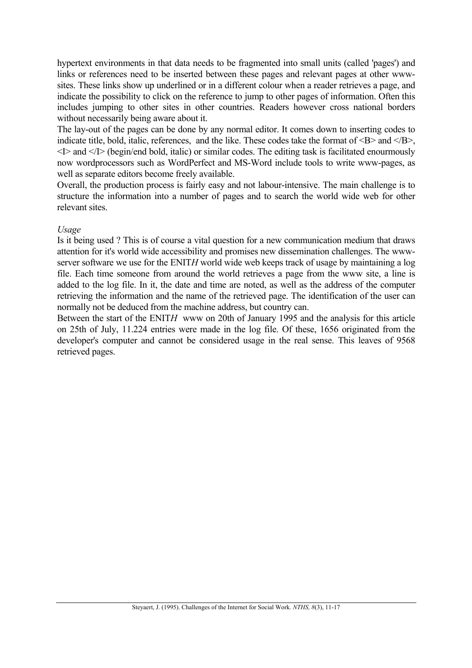hypertext environments in that data needs to be fragmented into small units (called 'pages') and links or references need to be inserted between these pages and relevant pages at other wwwsites. These links show up underlined or in a different colour when a reader retrieves a page, and indicate the possibility to click on the reference to jump to other pages of information. Often this includes jumping to other sites in other countries. Readers however cross national borders without necessarily being aware about it.

The lay-out of the pages can be done by any normal editor. It comes down to inserting codes to indicate title, bold, italic, references, and the like. These codes take the format of  $\langle B \rangle$  and  $\langle B \rangle$ , <I> and </I> (begin/end bold, italic) or similar codes. The editing task is facilitated enourmously now wordprocessors such as WordPerfect and MS-Word include tools to write www-pages, as well as separate editors become freely available.

Overall, the production process is fairly easy and not labour-intensive. The main challenge is to structure the information into a number of pages and to search the world wide web for other relevant sites.

### *Usage*

Is it being used ? This is of course a vital question for a new communication medium that draws attention for it's world wide accessibility and promises new dissemination challenges. The wwwserver software we use for the ENIT*H* world wide web keeps track of usage by maintaining a log file. Each time someone from around the world retrieves a page from the www site, a line is added to the log file. In it, the date and time are noted, as well as the address of the computer retrieving the information and the name of the retrieved page. The identification of the user can normally not be deduced from the machine address, but country can.

Between the start of the ENIT*H* www on 20th of January 1995 and the analysis for this article on 25th of July, 11.224 entries were made in the log file. Of these, 1656 originated from the developer's computer and cannot be considered usage in the real sense. This leaves of 9568 retrieved pages.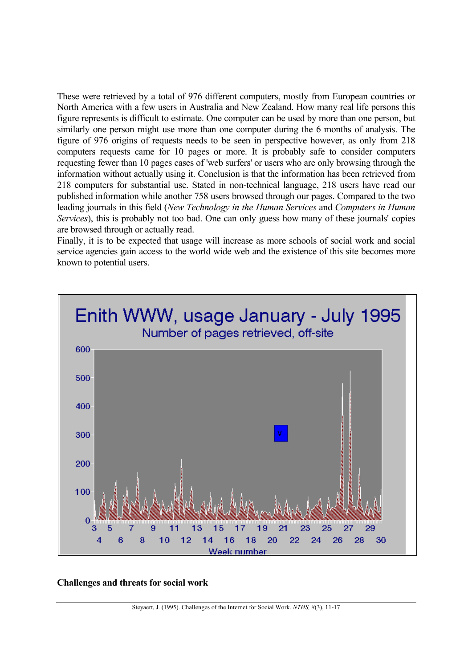These were retrieved by a total of 976 different computers, mostly from European countries or North America with a few users in Australia and New Zealand. How many real life persons this figure represents is difficult to estimate. One computer can be used by more than one person, but similarly one person might use more than one computer during the 6 months of analysis. The figure of 976 origins of requests needs to be seen in perspective however, as only from 218 computers requests came for 10 pages or more. It is probably safe to consider computers requesting fewer than 10 pages cases of 'web surfers' or users who are only browsing through the information without actually using it. Conclusion is that the information has been retrieved from 218 computers for substantial use. Stated in non-technical language, 218 users have read our published information while another 758 users browsed through our pages. Compared to the two leading journals in this field (*New Technology in the Human Services* and *Computers in Human Services*), this is probably not too bad. One can only guess how many of these journals' copies are browsed through or actually read.

Finally, it is to be expected that usage will increase as more schools of social work and social service agencies gain access to the world wide web and the existence of this site becomes more known to potential users.



## **Challenges and threats for social work**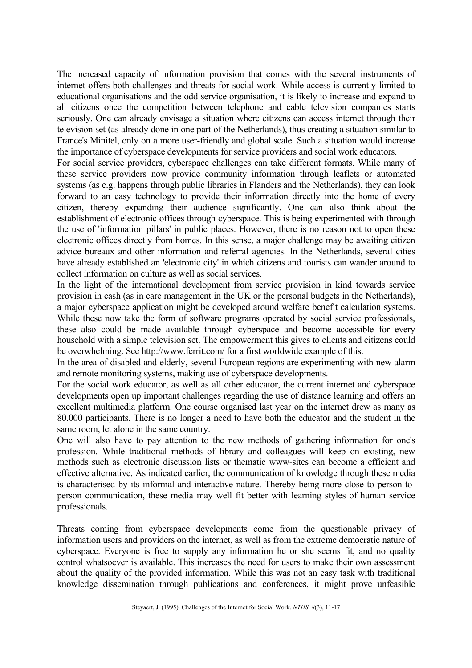The increased capacity of information provision that comes with the several instruments of internet offers both challenges and threats for social work. While access is currently limited to educational organisations and the odd service organisation, it is likely to increase and expand to all citizens once the competition between telephone and cable television companies starts seriously. One can already envisage a situation where citizens can access internet through their television set (as already done in one part of the Netherlands), thus creating a situation similar to France's Minitel, only on a more user-friendly and global scale. Such a situation would increase the importance of cyberspace developments for service providers and social work educators.

For social service providers, cyberspace challenges can take different formats. While many of these service providers now provide community information through leaflets or automated systems (as e.g. happens through public libraries in Flanders and the Netherlands), they can look forward to an easy technology to provide their information directly into the home of every citizen, thereby expanding their audience significantly. One can also think about the establishment of electronic offices through cyberspace. This is being experimented with through the use of 'information pillars' in public places. However, there is no reason not to open these electronic offices directly from homes. In this sense, a major challenge may be awaiting citizen advice bureaux and other information and referral agencies. In the Netherlands, several cities have already established an 'electronic city' in which citizens and tourists can wander around to collect information on culture as well as social services.

In the light of the international development from service provision in kind towards service provision in cash (as in care management in the UK or the personal budgets in the Netherlands), a major cyberspace application might be developed around welfare benefit calculation systems. While these now take the form of software programs operated by social service professionals, these also could be made available through cyberspace and become accessible for every household with a simple television set. The empowerment this gives to clients and citizens could be overwhelming. See http://www.ferrit.com/ for a first worldwide example of this.

In the area of disabled and elderly, several European regions are experimenting with new alarm and remote monitoring systems, making use of cyberspace developments.

For the social work educator, as well as all other educator, the current internet and cyberspace developments open up important challenges regarding the use of distance learning and offers an excellent multimedia platform. One course organised last year on the internet drew as many as 80.000 participants. There is no longer a need to have both the educator and the student in the same room, let alone in the same country.

One will also have to pay attention to the new methods of gathering information for one's profession. While traditional methods of library and colleagues will keep on existing, new methods such as electronic discussion lists or thematic www-sites can become a efficient and effective alternative. As indicated earlier, the communication of knowledge through these media is characterised by its informal and interactive nature. Thereby being more close to person-toperson communication, these media may well fit better with learning styles of human service professionals.

Threats coming from cyberspace developments come from the questionable privacy of information users and providers on the internet, as well as from the extreme democratic nature of cyberspace. Everyone is free to supply any information he or she seems fit, and no quality control whatsoever is available. This increases the need for users to make their own assessment about the quality of the provided information. While this was not an easy task with traditional knowledge dissemination through publications and conferences, it might prove unfeasible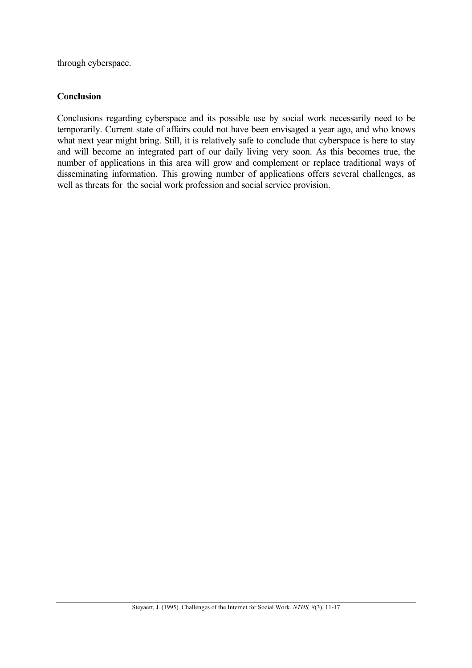through cyberspace.

## **Conclusion**

Conclusions regarding cyberspace and its possible use by social work necessarily need to be temporarily. Current state of affairs could not have been envisaged a year ago, and who knows what next year might bring. Still, it is relatively safe to conclude that cyberspace is here to stay and will become an integrated part of our daily living very soon. As this becomes true, the number of applications in this area will grow and complement or replace traditional ways of disseminating information. This growing number of applications offers several challenges, as well as threats for the social work profession and social service provision.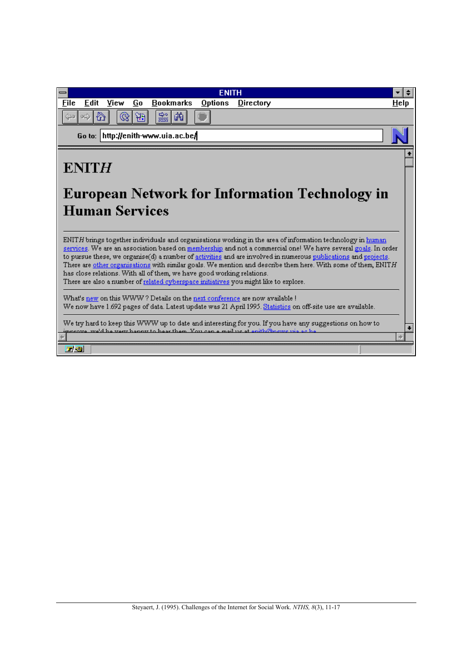| <b>ENITH</b>                                                                                                                                                                                                                                                                                                                                                                                                                                                                                                                                                                                                                     |      |
|----------------------------------------------------------------------------------------------------------------------------------------------------------------------------------------------------------------------------------------------------------------------------------------------------------------------------------------------------------------------------------------------------------------------------------------------------------------------------------------------------------------------------------------------------------------------------------------------------------------------------------|------|
| <b>Bookmarks</b><br>View<br>File<br>Edit<br>Go<br>Options<br>Directory                                                                                                                                                                                                                                                                                                                                                                                                                                                                                                                                                           | Help |
| 黜<br>繭<br>ĤЭ                                                                                                                                                                                                                                                                                                                                                                                                                                                                                                                                                                                                                     |      |
| http://enith-www.uia.ac.be/<br>Go to:                                                                                                                                                                                                                                                                                                                                                                                                                                                                                                                                                                                            |      |
| <b>ENITH</b><br><b>European Network for Information Technology in</b><br><b>Human Services</b>                                                                                                                                                                                                                                                                                                                                                                                                                                                                                                                                   |      |
| ENITH brings together individuals and organisations working in the area of information technology in human<br>services. We are an association based on membership and not a commercial one! We have several goals. In order<br>to pursue these, we organise(d) a number of activities and are involved in numerous publications and projects.<br>There are other organisations with similar goals. We mention and describe them here. With some of them, ENITH<br>has close relations. With all of them, we have good working relations.<br>There are also a number of related cyberspace initiatives you might like to explore. |      |
| What's new on this WWW? Details on the next conference are now available !<br>We now have 1.692 pages of data. Latest update was 21 April 1995. Statistics on off-site use are available.                                                                                                                                                                                                                                                                                                                                                                                                                                        |      |
| We try hard to keep this WWW up to date and interesting for you. If you have any suggestions on how to<br>$\frac{1}{2}$ interest $\frac{1}{2}$ and $\frac{1}{2}$ are the second base them. You can a mail us at enith Gineuze use as he                                                                                                                                                                                                                                                                                                                                                                                          |      |
| 工资                                                                                                                                                                                                                                                                                                                                                                                                                                                                                                                                                                                                                               |      |